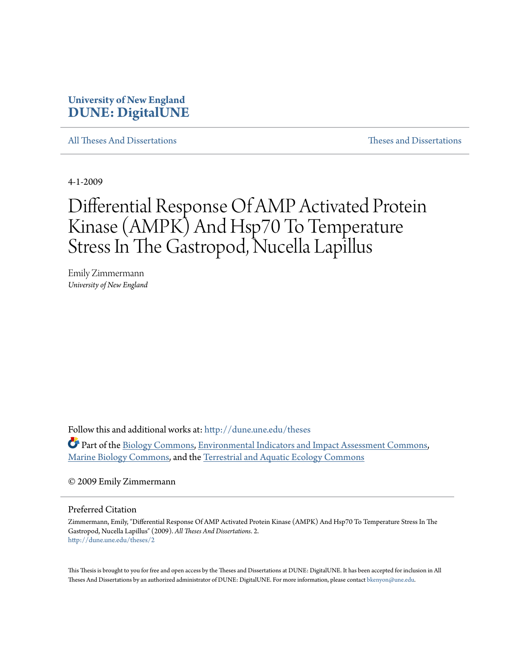# **University of New England [DUNE: DigitalUNE](http://dune.une.edu?utm_source=dune.une.edu%2Ftheses%2F2&utm_medium=PDF&utm_campaign=PDFCoverPages)**

[All Theses And Dissertations](http://dune.une.edu/theses?utm_source=dune.une.edu%2Ftheses%2F2&utm_medium=PDF&utm_campaign=PDFCoverPages) [Theses and Dissertations](http://dune.une.edu/theses_dissertations?utm_source=dune.une.edu%2Ftheses%2F2&utm_medium=PDF&utm_campaign=PDFCoverPages)

4-1-2009

# Differential Response Of AMP Activated Protein Kinase (AMPK) And Hsp70 To Temperature Stress In The Gastropod, Nucella Lapillus

Emily Zimmermann *University of New England*

Follow this and additional works at: [http://dune.une.edu/theses](http://dune.une.edu/theses?utm_source=dune.une.edu%2Ftheses%2F2&utm_medium=PDF&utm_campaign=PDFCoverPages)

Part of the [Biology Commons,](http://network.bepress.com/hgg/discipline/41?utm_source=dune.une.edu%2Ftheses%2F2&utm_medium=PDF&utm_campaign=PDFCoverPages) [Environmental Indicators and Impact Assessment Commons](http://network.bepress.com/hgg/discipline/1015?utm_source=dune.une.edu%2Ftheses%2F2&utm_medium=PDF&utm_campaign=PDFCoverPages), [Marine Biology Commons](http://network.bepress.com/hgg/discipline/1126?utm_source=dune.une.edu%2Ftheses%2F2&utm_medium=PDF&utm_campaign=PDFCoverPages), and the [Terrestrial and Aquatic Ecology Commons](http://network.bepress.com/hgg/discipline/20?utm_source=dune.une.edu%2Ftheses%2F2&utm_medium=PDF&utm_campaign=PDFCoverPages)

© 2009 Emily Zimmermann

Preferred Citation

Zimmermann, Emily, "Differential Response Of AMP Activated Protein Kinase (AMPK) And Hsp70 To Temperature Stress In The Gastropod, Nucella Lapillus" (2009). *All Theses And Dissertations*. 2. [http://dune.une.edu/theses/2](http://dune.une.edu/theses/2?utm_source=dune.une.edu%2Ftheses%2F2&utm_medium=PDF&utm_campaign=PDFCoverPages)

This Thesis is brought to you for free and open access by the Theses and Dissertations at DUNE: DigitalUNE. It has been accepted for inclusion in All Theses And Dissertations by an authorized administrator of DUNE: DigitalUNE. For more information, please contact [bkenyon@une.edu.](mailto:bkenyon@une.edu)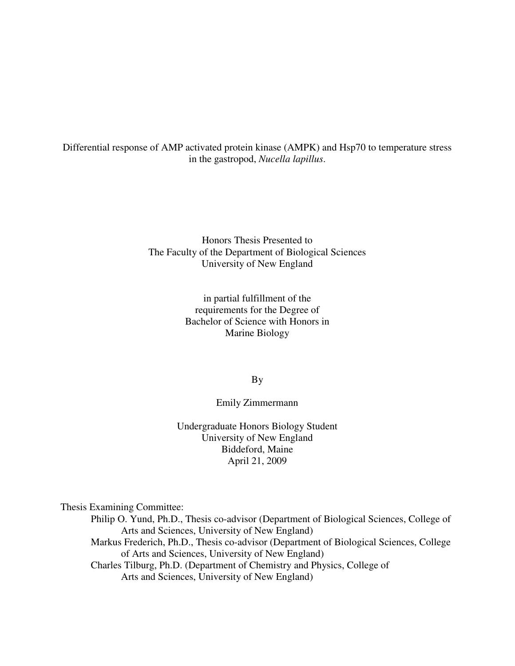Differential response of AMP activated protein kinase (AMPK) and Hsp70 to temperature stress in the gastropod, *Nucella lapillus*.

> Honors Thesis Presented to The Faculty of the Department of Biological Sciences University of New England

> > in partial fulfillment of the requirements for the Degree of Bachelor of Science with Honors in Marine Biology

> > > By

# Emily Zimmermann

Undergraduate Honors Biology Student University of New England Biddeford, Maine April 21, 2009

Thesis Examining Committee:

Philip O. Yund, Ph.D., Thesis co-advisor (Department of Biological Sciences, College of Arts and Sciences, University of New England) Markus Frederich, Ph.D., Thesis co-advisor (Department of Biological Sciences, College of Arts and Sciences, University of New England) Charles Tilburg, Ph.D. (Department of Chemistry and Physics, College of Arts and Sciences, University of New England)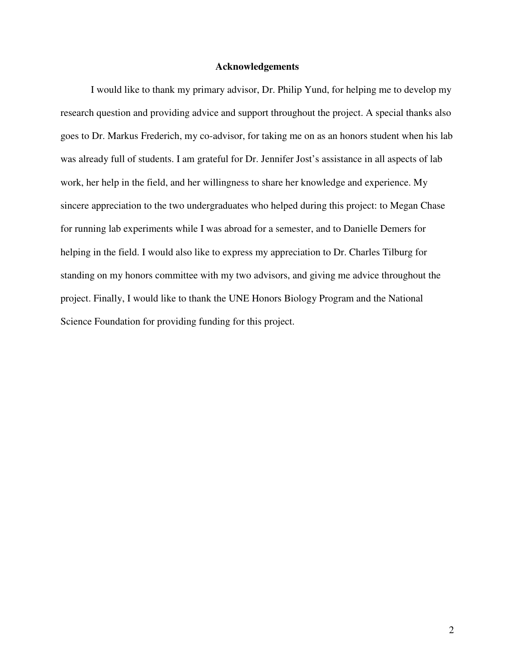## **Acknowledgements**

 I would like to thank my primary advisor, Dr. Philip Yund, for helping me to develop my research question and providing advice and support throughout the project. A special thanks also goes to Dr. Markus Frederich, my co-advisor, for taking me on as an honors student when his lab was already full of students. I am grateful for Dr. Jennifer Jost's assistance in all aspects of lab work, her help in the field, and her willingness to share her knowledge and experience. My sincere appreciation to the two undergraduates who helped during this project: to Megan Chase for running lab experiments while I was abroad for a semester, and to Danielle Demers for helping in the field. I would also like to express my appreciation to Dr. Charles Tilburg for standing on my honors committee with my two advisors, and giving me advice throughout the project. Finally, I would like to thank the UNE Honors Biology Program and the National Science Foundation for providing funding for this project.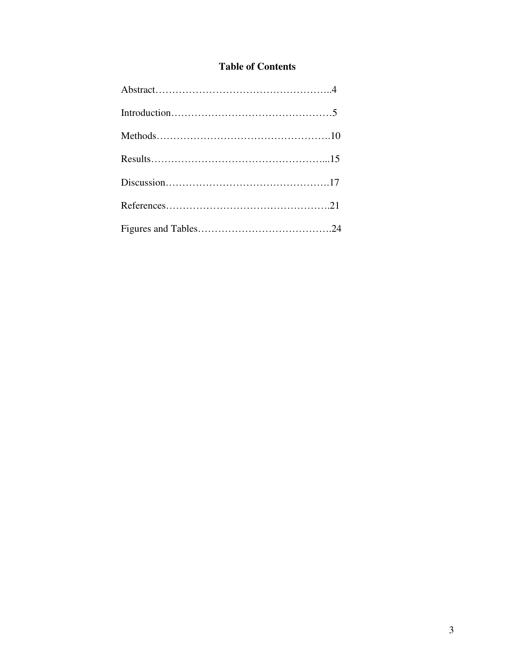# **Table of Contents**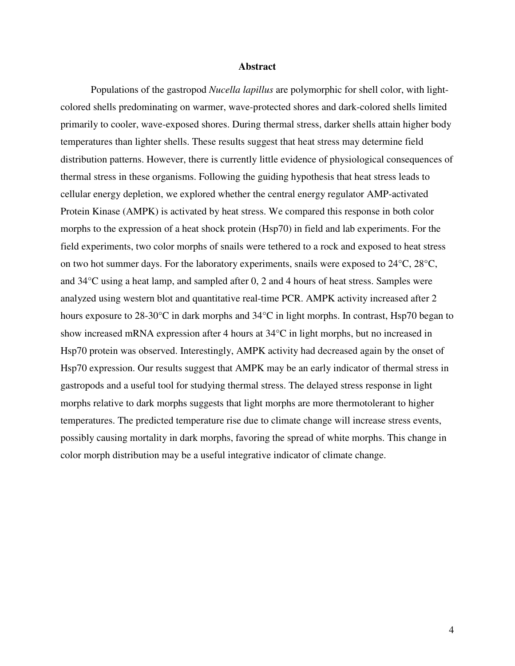## **Abstract**

Populations of the gastropod *Nucella lapillus* are polymorphic for shell color, with lightcolored shells predominating on warmer, wave-protected shores and dark-colored shells limited primarily to cooler, wave-exposed shores. During thermal stress, darker shells attain higher body temperatures than lighter shells. These results suggest that heat stress may determine field distribution patterns. However, there is currently little evidence of physiological consequences of thermal stress in these organisms. Following the guiding hypothesis that heat stress leads to cellular energy depletion, we explored whether the central energy regulator AMP-activated Protein Kinase (AMPK) is activated by heat stress. We compared this response in both color morphs to the expression of a heat shock protein (Hsp70) in field and lab experiments. For the field experiments, two color morphs of snails were tethered to a rock and exposed to heat stress on two hot summer days. For the laboratory experiments, snails were exposed to 24°C, 28°C, and 34°C using a heat lamp, and sampled after 0, 2 and 4 hours of heat stress. Samples were analyzed using western blot and quantitative real-time PCR. AMPK activity increased after 2 hours exposure to 28-30°C in dark morphs and 34°C in light morphs. In contrast, Hsp70 began to show increased mRNA expression after 4 hours at 34°C in light morphs, but no increased in Hsp70 protein was observed. Interestingly, AMPK activity had decreased again by the onset of Hsp70 expression. Our results suggest that AMPK may be an early indicator of thermal stress in gastropods and a useful tool for studying thermal stress. The delayed stress response in light morphs relative to dark morphs suggests that light morphs are more thermotolerant to higher temperatures. The predicted temperature rise due to climate change will increase stress events, possibly causing mortality in dark morphs, favoring the spread of white morphs. This change in color morph distribution may be a useful integrative indicator of climate change.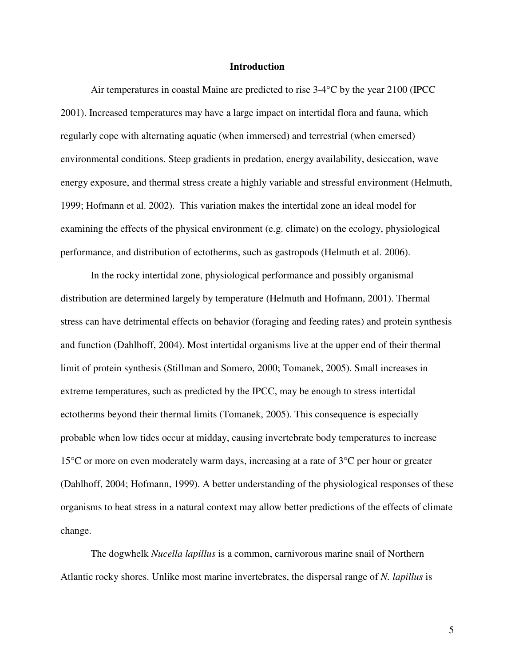#### **Introduction**

Air temperatures in coastal Maine are predicted to rise 3-4°C by the year 2100 (IPCC 2001). Increased temperatures may have a large impact on intertidal flora and fauna, which regularly cope with alternating aquatic (when immersed) and terrestrial (when emersed) environmental conditions. Steep gradients in predation, energy availability, desiccation, wave energy exposure, and thermal stress create a highly variable and stressful environment (Helmuth, 1999; Hofmann et al. 2002). This variation makes the intertidal zone an ideal model for examining the effects of the physical environment (e.g. climate) on the ecology, physiological performance, and distribution of ectotherms, such as gastropods (Helmuth et al. 2006).

In the rocky intertidal zone, physiological performance and possibly organismal distribution are determined largely by temperature (Helmuth and Hofmann, 2001). Thermal stress can have detrimental effects on behavior (foraging and feeding rates) and protein synthesis and function (Dahlhoff, 2004). Most intertidal organisms live at the upper end of their thermal limit of protein synthesis (Stillman and Somero, 2000; Tomanek, 2005). Small increases in extreme temperatures, such as predicted by the IPCC, may be enough to stress intertidal ectotherms beyond their thermal limits (Tomanek, 2005). This consequence is especially probable when low tides occur at midday, causing invertebrate body temperatures to increase 15°C or more on even moderately warm days, increasing at a rate of 3°C per hour or greater (Dahlhoff, 2004; Hofmann, 1999). A better understanding of the physiological responses of these organisms to heat stress in a natural context may allow better predictions of the effects of climate change.

The dogwhelk *Nucella lapillus* is a common, carnivorous marine snail of Northern Atlantic rocky shores. Unlike most marine invertebrates, the dispersal range of *N. lapillus* is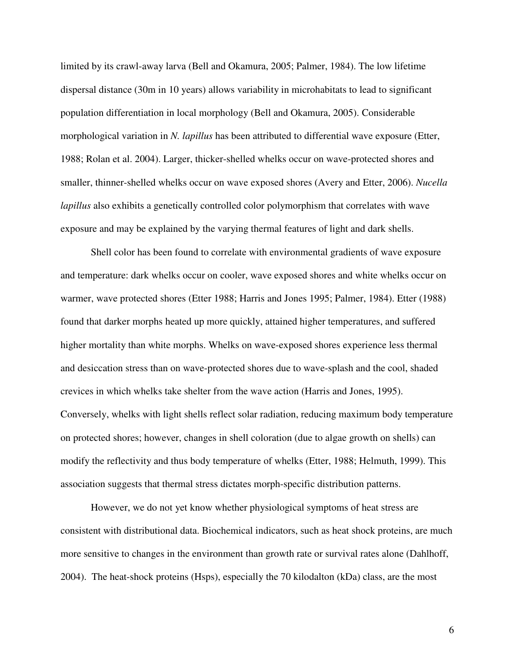limited by its crawl-away larva (Bell and Okamura, 2005; Palmer, 1984). The low lifetime dispersal distance (30m in 10 years) allows variability in microhabitats to lead to significant population differentiation in local morphology (Bell and Okamura, 2005). Considerable morphological variation in *N. lapillus* has been attributed to differential wave exposure (Etter, 1988; Rolan et al. 2004). Larger, thicker-shelled whelks occur on wave-protected shores and smaller, thinner-shelled whelks occur on wave exposed shores (Avery and Etter, 2006). *Nucella lapillus* also exhibits a genetically controlled color polymorphism that correlates with wave exposure and may be explained by the varying thermal features of light and dark shells.

Shell color has been found to correlate with environmental gradients of wave exposure and temperature: dark whelks occur on cooler, wave exposed shores and white whelks occur on warmer, wave protected shores (Etter 1988; Harris and Jones 1995; Palmer, 1984). Etter (1988) found that darker morphs heated up more quickly, attained higher temperatures, and suffered higher mortality than white morphs. Whelks on wave-exposed shores experience less thermal and desiccation stress than on wave-protected shores due to wave-splash and the cool, shaded crevices in which whelks take shelter from the wave action (Harris and Jones, 1995). Conversely, whelks with light shells reflect solar radiation, reducing maximum body temperature on protected shores; however, changes in shell coloration (due to algae growth on shells) can modify the reflectivity and thus body temperature of whelks (Etter, 1988; Helmuth, 1999). This association suggests that thermal stress dictates morph-specific distribution patterns.

However, we do not yet know whether physiological symptoms of heat stress are consistent with distributional data. Biochemical indicators, such as heat shock proteins, are much more sensitive to changes in the environment than growth rate or survival rates alone (Dahlhoff, 2004). The heat-shock proteins (Hsps), especially the 70 kilodalton (kDa) class, are the most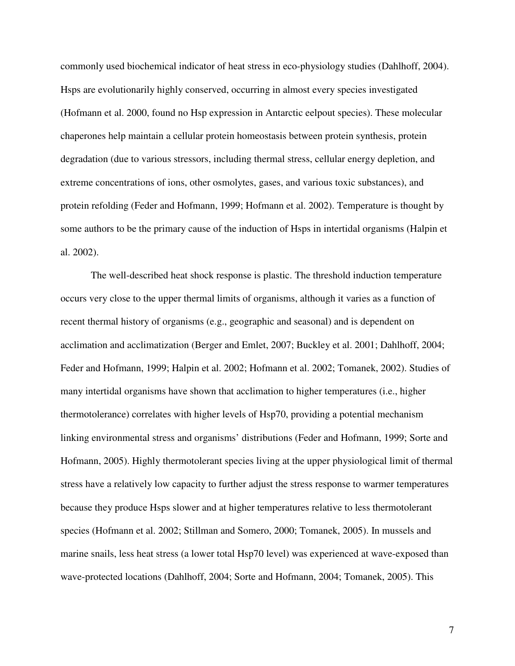commonly used biochemical indicator of heat stress in eco-physiology studies (Dahlhoff, 2004). Hsps are evolutionarily highly conserved, occurring in almost every species investigated (Hofmann et al. 2000, found no Hsp expression in Antarctic eelpout species). These molecular chaperones help maintain a cellular protein homeostasis between protein synthesis, protein degradation (due to various stressors, including thermal stress, cellular energy depletion, and extreme concentrations of ions, other osmolytes, gases, and various toxic substances), and protein refolding (Feder and Hofmann, 1999; Hofmann et al. 2002). Temperature is thought by some authors to be the primary cause of the induction of Hsps in intertidal organisms (Halpin et al. 2002).

The well-described heat shock response is plastic. The threshold induction temperature occurs very close to the upper thermal limits of organisms, although it varies as a function of recent thermal history of organisms (e.g., geographic and seasonal) and is dependent on acclimation and acclimatization (Berger and Emlet, 2007; Buckley et al. 2001; Dahlhoff, 2004; Feder and Hofmann, 1999; Halpin et al. 2002; Hofmann et al. 2002; Tomanek, 2002). Studies of many intertidal organisms have shown that acclimation to higher temperatures (i.e., higher thermotolerance) correlates with higher levels of Hsp70, providing a potential mechanism linking environmental stress and organisms' distributions (Feder and Hofmann, 1999; Sorte and Hofmann, 2005). Highly thermotolerant species living at the upper physiological limit of thermal stress have a relatively low capacity to further adjust the stress response to warmer temperatures because they produce Hsps slower and at higher temperatures relative to less thermotolerant species (Hofmann et al. 2002; Stillman and Somero, 2000; Tomanek, 2005). In mussels and marine snails, less heat stress (a lower total Hsp70 level) was experienced at wave-exposed than wave-protected locations (Dahlhoff, 2004; Sorte and Hofmann, 2004; Tomanek, 2005). This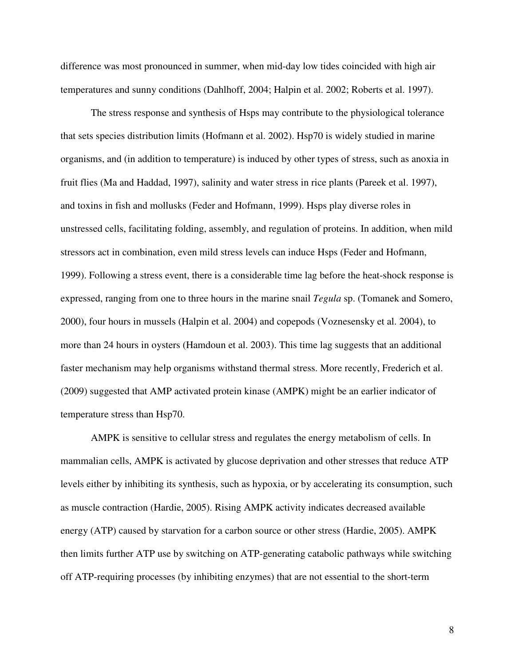difference was most pronounced in summer, when mid-day low tides coincided with high air temperatures and sunny conditions (Dahlhoff, 2004; Halpin et al. 2002; Roberts et al. 1997).

 The stress response and synthesis of Hsps may contribute to the physiological tolerance that sets species distribution limits (Hofmann et al. 2002). Hsp70 is widely studied in marine organisms, and (in addition to temperature) is induced by other types of stress, such as anoxia in fruit flies (Ma and Haddad, 1997), salinity and water stress in rice plants (Pareek et al. 1997), and toxins in fish and mollusks (Feder and Hofmann, 1999). Hsps play diverse roles in unstressed cells, facilitating folding, assembly, and regulation of proteins. In addition, when mild stressors act in combination, even mild stress levels can induce Hsps (Feder and Hofmann, 1999). Following a stress event, there is a considerable time lag before the heat-shock response is expressed, ranging from one to three hours in the marine snail *Tegula* sp. (Tomanek and Somero, 2000), four hours in mussels (Halpin et al. 2004) and copepods (Voznesensky et al. 2004), to more than 24 hours in oysters (Hamdoun et al. 2003). This time lag suggests that an additional faster mechanism may help organisms withstand thermal stress. More recently, Frederich et al. (2009) suggested that AMP activated protein kinase (AMPK) might be an earlier indicator of temperature stress than Hsp70.

AMPK is sensitive to cellular stress and regulates the energy metabolism of cells. In mammalian cells, AMPK is activated by glucose deprivation and other stresses that reduce ATP levels either by inhibiting its synthesis, such as hypoxia, or by accelerating its consumption, such as muscle contraction (Hardie, 2005). Rising AMPK activity indicates decreased available energy (ATP) caused by starvation for a carbon source or other stress (Hardie, 2005). AMPK then limits further ATP use by switching on ATP-generating catabolic pathways while switching off ATP-requiring processes (by inhibiting enzymes) that are not essential to the short-term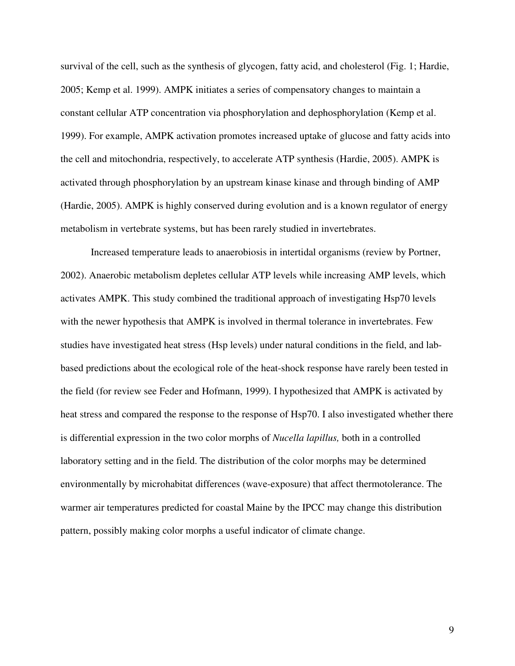survival of the cell, such as the synthesis of glycogen, fatty acid, and cholesterol (Fig. 1; Hardie, 2005; Kemp et al. 1999). AMPK initiates a series of compensatory changes to maintain a constant cellular ATP concentration via phosphorylation and dephosphorylation (Kemp et al. 1999). For example, AMPK activation promotes increased uptake of glucose and fatty acids into the cell and mitochondria, respectively, to accelerate ATP synthesis (Hardie, 2005). AMPK is activated through phosphorylation by an upstream kinase kinase and through binding of AMP (Hardie, 2005). AMPK is highly conserved during evolution and is a known regulator of energy metabolism in vertebrate systems, but has been rarely studied in invertebrates.

Increased temperature leads to anaerobiosis in intertidal organisms (review by Portner, 2002). Anaerobic metabolism depletes cellular ATP levels while increasing AMP levels, which activates AMPK. This study combined the traditional approach of investigating Hsp70 levels with the newer hypothesis that AMPK is involved in thermal tolerance in invertebrates. Few studies have investigated heat stress (Hsp levels) under natural conditions in the field, and labbased predictions about the ecological role of the heat-shock response have rarely been tested in the field (for review see Feder and Hofmann, 1999). I hypothesized that AMPK is activated by heat stress and compared the response to the response of Hsp70. I also investigated whether there is differential expression in the two color morphs of *Nucella lapillus,* both in a controlled laboratory setting and in the field. The distribution of the color morphs may be determined environmentally by microhabitat differences (wave-exposure) that affect thermotolerance. The warmer air temperatures predicted for coastal Maine by the IPCC may change this distribution pattern, possibly making color morphs a useful indicator of climate change.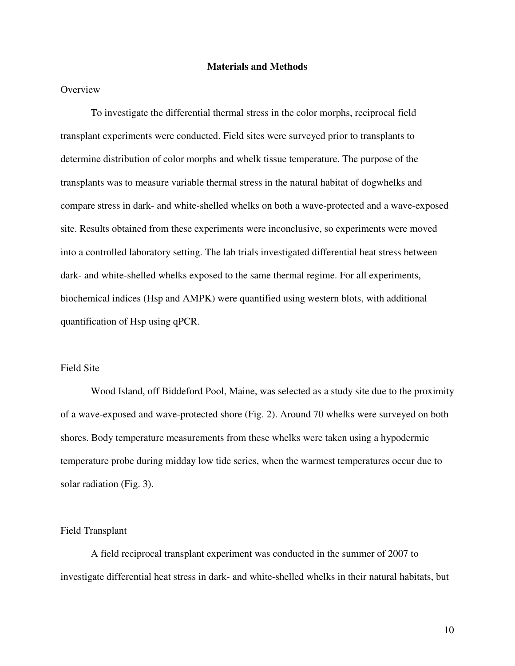## **Materials and Methods**

# **Overview**

 To investigate the differential thermal stress in the color morphs, reciprocal field transplant experiments were conducted. Field sites were surveyed prior to transplants to determine distribution of color morphs and whelk tissue temperature. The purpose of the transplants was to measure variable thermal stress in the natural habitat of dogwhelks and compare stress in dark- and white-shelled whelks on both a wave-protected and a wave-exposed site. Results obtained from these experiments were inconclusive, so experiments were moved into a controlled laboratory setting. The lab trials investigated differential heat stress between dark- and white-shelled whelks exposed to the same thermal regime. For all experiments, biochemical indices (Hsp and AMPK) were quantified using western blots, with additional quantification of Hsp using qPCR.

# Field Site

 Wood Island, off Biddeford Pool, Maine, was selected as a study site due to the proximity of a wave-exposed and wave-protected shore (Fig. 2). Around 70 whelks were surveyed on both shores. Body temperature measurements from these whelks were taken using a hypodermic temperature probe during midday low tide series, when the warmest temperatures occur due to solar radiation (Fig. 3).

#### Field Transplant

A field reciprocal transplant experiment was conducted in the summer of 2007 to investigate differential heat stress in dark- and white-shelled whelks in their natural habitats, but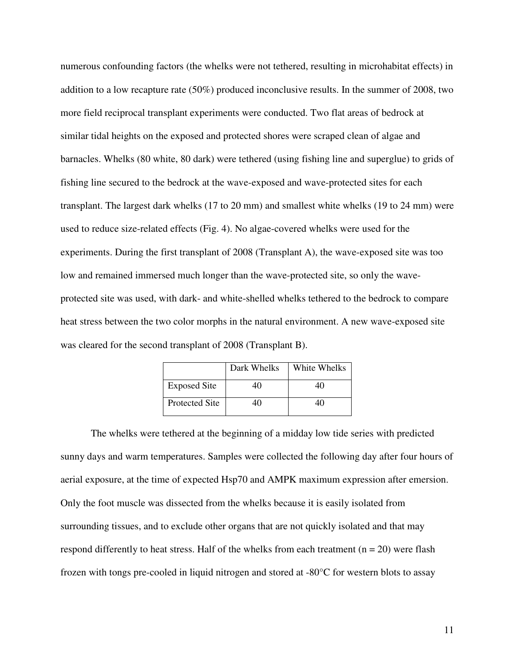numerous confounding factors (the whelks were not tethered, resulting in microhabitat effects) in addition to a low recapture rate (50%) produced inconclusive results. In the summer of 2008, two more field reciprocal transplant experiments were conducted. Two flat areas of bedrock at similar tidal heights on the exposed and protected shores were scraped clean of algae and barnacles. Whelks (80 white, 80 dark) were tethered (using fishing line and superglue) to grids of fishing line secured to the bedrock at the wave-exposed and wave-protected sites for each transplant. The largest dark whelks (17 to 20 mm) and smallest white whelks (19 to 24 mm) were used to reduce size-related effects (Fig. 4). No algae-covered whelks were used for the experiments. During the first transplant of 2008 (Transplant A), the wave-exposed site was too low and remained immersed much longer than the wave-protected site, so only the waveprotected site was used, with dark- and white-shelled whelks tethered to the bedrock to compare heat stress between the two color morphs in the natural environment. A new wave-exposed site was cleared for the second transplant of 2008 (Transplant B).

|                       | Dark Whelks | White Whelks |
|-----------------------|-------------|--------------|
| <b>Exposed Site</b>   |             |              |
| <b>Protected Site</b> |             |              |

The whelks were tethered at the beginning of a midday low tide series with predicted sunny days and warm temperatures. Samples were collected the following day after four hours of aerial exposure, at the time of expected Hsp70 and AMPK maximum expression after emersion. Only the foot muscle was dissected from the whelks because it is easily isolated from surrounding tissues, and to exclude other organs that are not quickly isolated and that may respond differently to heat stress. Half of the whelks from each treatment ( $n = 20$ ) were flash frozen with tongs pre-cooled in liquid nitrogen and stored at -80°C for western blots to assay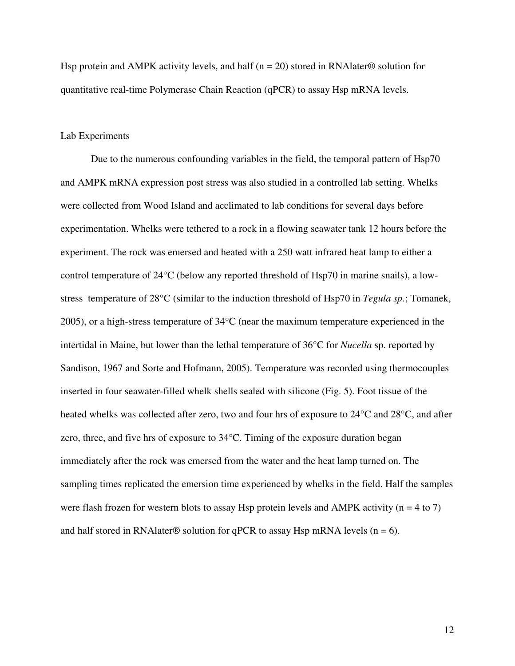Hsp protein and AMPK activity levels, and half ( $n = 20$ ) stored in RNA later® solution for quantitative real-time Polymerase Chain Reaction (qPCR) to assay Hsp mRNA levels.

# Lab Experiments

Due to the numerous confounding variables in the field, the temporal pattern of Hsp70 and AMPK mRNA expression post stress was also studied in a controlled lab setting. Whelks were collected from Wood Island and acclimated to lab conditions for several days before experimentation. Whelks were tethered to a rock in a flowing seawater tank 12 hours before the experiment. The rock was emersed and heated with a 250 watt infrared heat lamp to either a control temperature of 24°C (below any reported threshold of Hsp70 in marine snails), a lowstress temperature of 28°C (similar to the induction threshold of Hsp70 in *Tegula sp.*; Tomanek, 2005), or a high-stress temperature of 34°C (near the maximum temperature experienced in the intertidal in Maine, but lower than the lethal temperature of 36°C for *Nucella* sp. reported by Sandison, 1967 and Sorte and Hofmann, 2005). Temperature was recorded using thermocouples inserted in four seawater-filled whelk shells sealed with silicone (Fig. 5). Foot tissue of the heated whelks was collected after zero, two and four hrs of exposure to 24°C and 28°C, and after zero, three, and five hrs of exposure to 34°C. Timing of the exposure duration began immediately after the rock was emersed from the water and the heat lamp turned on. The sampling times replicated the emersion time experienced by whelks in the field. Half the samples were flash frozen for western blots to assay Hsp protein levels and AMPK activity ( $n = 4$  to 7) and half stored in RNAlater® solution for qPCR to assay Hsp mRNA levels ( $n = 6$ ).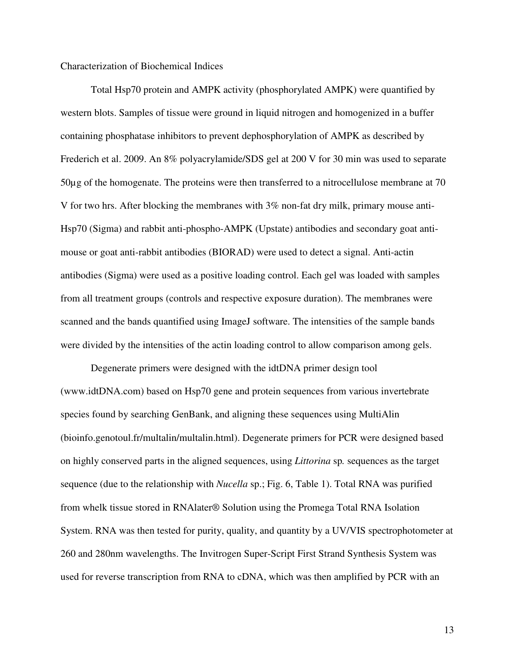# Characterization of Biochemical Indices

 Total Hsp70 protein and AMPK activity (phosphorylated AMPK) were quantified by western blots. Samples of tissue were ground in liquid nitrogen and homogenized in a buffer containing phosphatase inhibitors to prevent dephosphorylation of AMPK as described by Frederich et al. 2009. An 8% polyacrylamide/SDS gel at 200 V for 30 min was used to separate 50µg of the homogenate. The proteins were then transferred to a nitrocellulose membrane at 70 V for two hrs. After blocking the membranes with 3% non-fat dry milk, primary mouse anti-Hsp70 (Sigma) and rabbit anti-phospho-AMPK (Upstate) antibodies and secondary goat antimouse or goat anti-rabbit antibodies (BIORAD) were used to detect a signal. Anti-actin antibodies (Sigma) were used as a positive loading control. Each gel was loaded with samples from all treatment groups (controls and respective exposure duration). The membranes were scanned and the bands quantified using ImageJ software. The intensities of the sample bands were divided by the intensities of the actin loading control to allow comparison among gels.

Degenerate primers were designed with the idtDNA primer design tool (www.idtDNA.com) based on Hsp70 gene and protein sequences from various invertebrate species found by searching GenBank, and aligning these sequences using MultiAlin (bioinfo.genotoul.fr/multalin/multalin.html). Degenerate primers for PCR were designed based on highly conserved parts in the aligned sequences, using *Littorina* sp*.* sequences as the target sequence (due to the relationship with *Nucella* sp.; Fig. 6, Table 1). Total RNA was purified from whelk tissue stored in RNAlater® Solution using the Promega Total RNA Isolation System. RNA was then tested for purity, quality, and quantity by a UV/VIS spectrophotometer at 260 and 280nm wavelengths. The Invitrogen Super-Script First Strand Synthesis System was used for reverse transcription from RNA to cDNA, which was then amplified by PCR with an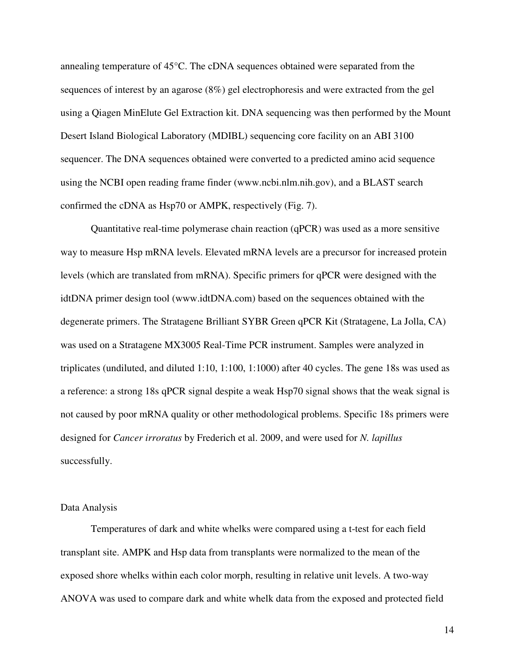annealing temperature of 45°C. The cDNA sequences obtained were separated from the sequences of interest by an agarose (8%) gel electrophoresis and were extracted from the gel using a Qiagen MinElute Gel Extraction kit. DNA sequencing was then performed by the Mount Desert Island Biological Laboratory (MDIBL) sequencing core facility on an ABI 3100 sequencer. The DNA sequences obtained were converted to a predicted amino acid sequence using the NCBI open reading frame finder (www.ncbi.nlm.nih.gov), and a BLAST search confirmed the cDNA as Hsp70 or AMPK, respectively (Fig. 7).

Quantitative real-time polymerase chain reaction (qPCR) was used as a more sensitive way to measure Hsp mRNA levels. Elevated mRNA levels are a precursor for increased protein levels (which are translated from mRNA). Specific primers for qPCR were designed with the idtDNA primer design tool (www.idtDNA.com) based on the sequences obtained with the degenerate primers. The Stratagene Brilliant SYBR Green qPCR Kit (Stratagene, La Jolla, CA) was used on a Stratagene MX3005 Real-Time PCR instrument. Samples were analyzed in triplicates (undiluted, and diluted 1:10, 1:100, 1:1000) after 40 cycles. The gene 18s was used as a reference: a strong 18s qPCR signal despite a weak Hsp70 signal shows that the weak signal is not caused by poor mRNA quality or other methodological problems. Specific 18s primers were designed for *Cancer irroratus* by Frederich et al. 2009, and were used for *N. lapillus* successfully.

#### Data Analysis

 Temperatures of dark and white whelks were compared using a t-test for each field transplant site. AMPK and Hsp data from transplants were normalized to the mean of the exposed shore whelks within each color morph, resulting in relative unit levels. A two-way ANOVA was used to compare dark and white whelk data from the exposed and protected field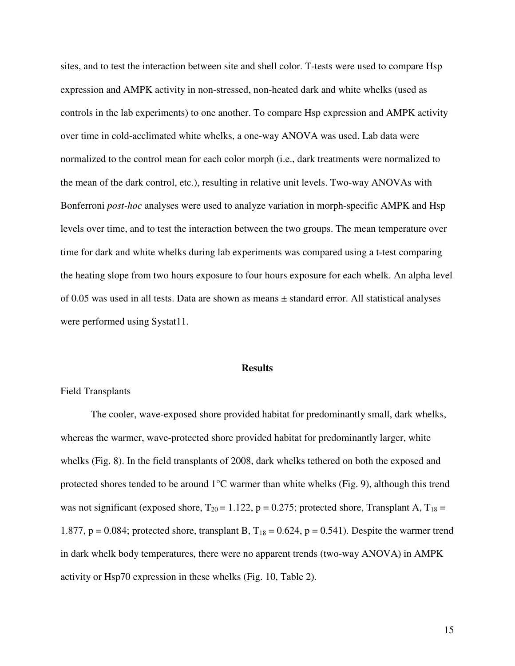sites, and to test the interaction between site and shell color. T-tests were used to compare Hsp expression and AMPK activity in non-stressed, non-heated dark and white whelks (used as controls in the lab experiments) to one another. To compare Hsp expression and AMPK activity over time in cold-acclimated white whelks, a one-way ANOVA was used. Lab data were normalized to the control mean for each color morph (i.e., dark treatments were normalized to the mean of the dark control, etc.), resulting in relative unit levels. Two-way ANOVAs with Bonferroni *post-hoc* analyses were used to analyze variation in morph-specific AMPK and Hsp levels over time, and to test the interaction between the two groups. The mean temperature over time for dark and white whelks during lab experiments was compared using a t-test comparing the heating slope from two hours exposure to four hours exposure for each whelk. An alpha level of 0.05 was used in all tests. Data are shown as means ± standard error. All statistical analyses were performed using Systat11.

#### **Results**

# Field Transplants

The cooler, wave-exposed shore provided habitat for predominantly small, dark whelks, whereas the warmer, wave-protected shore provided habitat for predominantly larger, white whelks (Fig. 8). In the field transplants of 2008, dark whelks tethered on both the exposed and protected shores tended to be around 1°C warmer than white whelks (Fig. 9), although this trend was not significant (exposed shore,  $T_{20} = 1.122$ , p = 0.275; protected shore, Transplant A,  $T_{18} =$ 1.877,  $p = 0.084$ ; protected shore, transplant B,  $T_{18} = 0.624$ ,  $p = 0.541$ ). Despite the warmer trend in dark whelk body temperatures, there were no apparent trends (two-way ANOVA) in AMPK activity or Hsp70 expression in these whelks (Fig. 10, Table 2).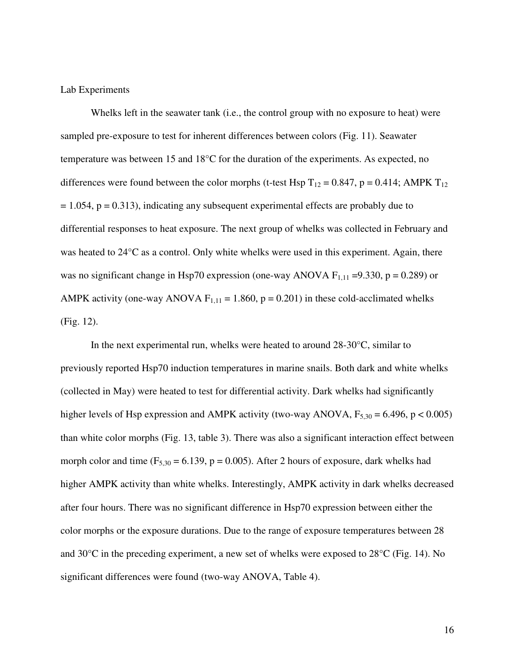# Lab Experiments

Whelks left in the seawater tank (i.e., the control group with no exposure to heat) were sampled pre-exposure to test for inherent differences between colors (Fig. 11). Seawater temperature was between 15 and 18°C for the duration of the experiments. As expected, no differences were found between the color morphs (t-test Hsp  $T_{12} = 0.847$ , p = 0.414; AMPK  $T_{12}$  $= 1.054$ ,  $p = 0.313$ ), indicating any subsequent experimental effects are probably due to differential responses to heat exposure. The next group of whelks was collected in February and was heated to 24°C as a control. Only white whelks were used in this experiment. Again, there was no significant change in Hsp70 expression (one-way ANOVA  $F_{1,11} = 9.330$ , p = 0.289) or AMPK activity (one-way ANOVA  $F_{1,11} = 1.860$ ,  $p = 0.201$ ) in these cold-acclimated whelks (Fig. 12).

 In the next experimental run, whelks were heated to around 28-30°C, similar to previously reported Hsp70 induction temperatures in marine snails. Both dark and white whelks (collected in May) were heated to test for differential activity. Dark whelks had significantly higher levels of Hsp expression and AMPK activity (two-way ANOVA,  $F_{5,30} = 6.496$ , p < 0.005) than white color morphs (Fig. 13, table 3). There was also a significant interaction effect between morph color and time  $(F_{5,30} = 6.139, p = 0.005)$ . After 2 hours of exposure, dark whelks had higher AMPK activity than white whelks. Interestingly, AMPK activity in dark whelks decreased after four hours. There was no significant difference in Hsp70 expression between either the color morphs or the exposure durations. Due to the range of exposure temperatures between 28 and 30°C in the preceding experiment, a new set of whelks were exposed to 28°C (Fig. 14). No significant differences were found (two-way ANOVA, Table 4).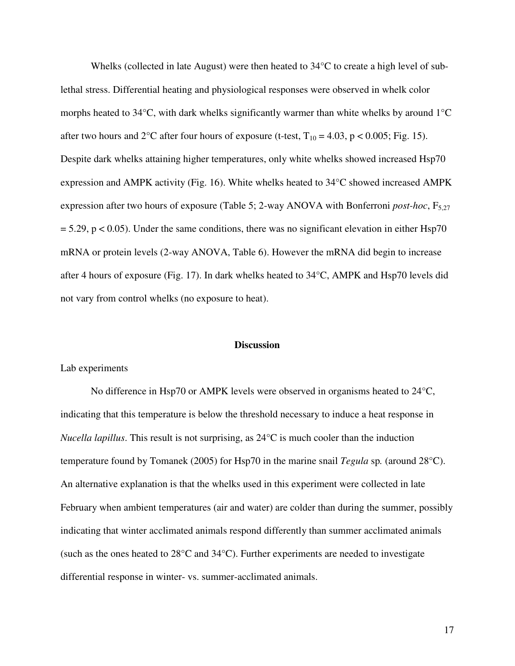Whelks (collected in late August) were then heated to 34<sup>o</sup>C to create a high level of sublethal stress. Differential heating and physiological responses were observed in whelk color morphs heated to  $34^{\circ}$ C, with dark whelks significantly warmer than white whelks by around  $1^{\circ}$ C after two hours and  $2^{\circ}$ C after four hours of exposure (t-test, T<sub>10</sub> = 4.03, p < 0.005; Fig. 15). Despite dark whelks attaining higher temperatures, only white whelks showed increased Hsp70 expression and AMPK activity (Fig. 16). White whelks heated to 34°C showed increased AMPK expression after two hours of exposure (Table 5; 2-way ANOVA with Bonferroni *post-hoc*,  $F_{5,27}$  $= 5.29$ , p < 0.05). Under the same conditions, there was no significant elevation in either Hsp70 mRNA or protein levels (2-way ANOVA, Table 6). However the mRNA did begin to increase after 4 hours of exposure (Fig. 17). In dark whelks heated to 34°C, AMPK and Hsp70 levels did not vary from control whelks (no exposure to heat).

## **Discussion**

#### Lab experiments

No difference in Hsp70 or AMPK levels were observed in organisms heated to 24°C, indicating that this temperature is below the threshold necessary to induce a heat response in *Nucella lapillus*. This result is not surprising, as 24°C is much cooler than the induction temperature found by Tomanek (2005) for Hsp70 in the marine snail *Tegula* sp*.* (around 28°C). An alternative explanation is that the whelks used in this experiment were collected in late February when ambient temperatures (air and water) are colder than during the summer, possibly indicating that winter acclimated animals respond differently than summer acclimated animals (such as the ones heated to 28°C and 34°C). Further experiments are needed to investigate differential response in winter- vs. summer-acclimated animals.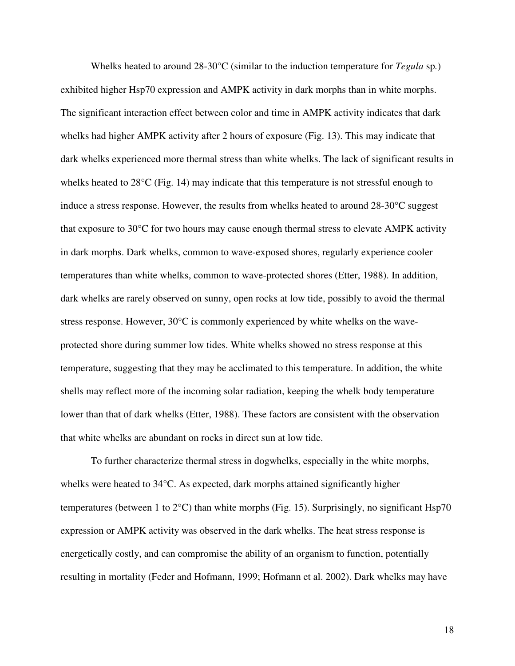Whelks heated to around 28-30°C (similar to the induction temperature for *Tegula* sp*.*) exhibited higher Hsp70 expression and AMPK activity in dark morphs than in white morphs. The significant interaction effect between color and time in AMPK activity indicates that dark whelks had higher AMPK activity after 2 hours of exposure (Fig. 13). This may indicate that dark whelks experienced more thermal stress than white whelks. The lack of significant results in whelks heated to 28°C (Fig. 14) may indicate that this temperature is not stressful enough to induce a stress response. However, the results from whelks heated to around 28-30°C suggest that exposure to 30°C for two hours may cause enough thermal stress to elevate AMPK activity in dark morphs. Dark whelks, common to wave-exposed shores, regularly experience cooler temperatures than white whelks, common to wave-protected shores (Etter, 1988). In addition, dark whelks are rarely observed on sunny, open rocks at low tide, possibly to avoid the thermal stress response. However, 30°C is commonly experienced by white whelks on the waveprotected shore during summer low tides. White whelks showed no stress response at this temperature, suggesting that they may be acclimated to this temperature. In addition, the white shells may reflect more of the incoming solar radiation, keeping the whelk body temperature lower than that of dark whelks (Etter, 1988). These factors are consistent with the observation that white whelks are abundant on rocks in direct sun at low tide.

To further characterize thermal stress in dogwhelks, especially in the white morphs, whelks were heated to 34°C. As expected, dark morphs attained significantly higher temperatures (between 1 to 2°C) than white morphs (Fig. 15). Surprisingly, no significant Hsp70 expression or AMPK activity was observed in the dark whelks. The heat stress response is energetically costly, and can compromise the ability of an organism to function, potentially resulting in mortality (Feder and Hofmann, 1999; Hofmann et al. 2002). Dark whelks may have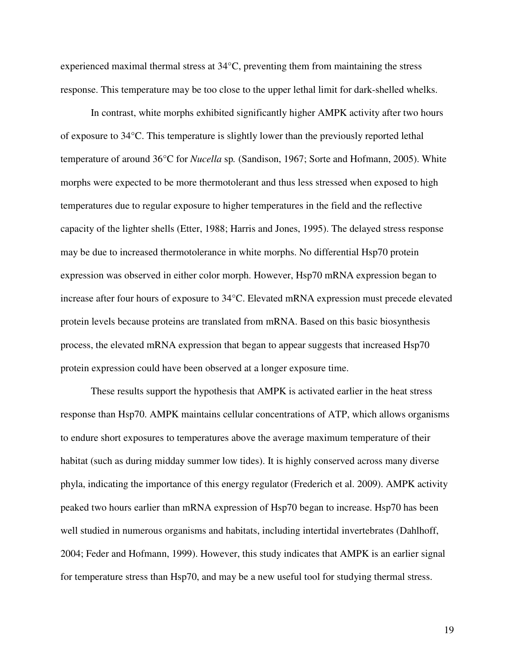experienced maximal thermal stress at 34°C, preventing them from maintaining the stress response. This temperature may be too close to the upper lethal limit for dark-shelled whelks.

In contrast, white morphs exhibited significantly higher AMPK activity after two hours of exposure to 34°C. This temperature is slightly lower than the previously reported lethal temperature of around 36°C for *Nucella* sp*.* (Sandison, 1967; Sorte and Hofmann, 2005). White morphs were expected to be more thermotolerant and thus less stressed when exposed to high temperatures due to regular exposure to higher temperatures in the field and the reflective capacity of the lighter shells (Etter, 1988; Harris and Jones, 1995). The delayed stress response may be due to increased thermotolerance in white morphs. No differential Hsp70 protein expression was observed in either color morph. However, Hsp70 mRNA expression began to increase after four hours of exposure to 34°C. Elevated mRNA expression must precede elevated protein levels because proteins are translated from mRNA. Based on this basic biosynthesis process, the elevated mRNA expression that began to appear suggests that increased Hsp70 protein expression could have been observed at a longer exposure time.

 These results support the hypothesis that AMPK is activated earlier in the heat stress response than Hsp70. AMPK maintains cellular concentrations of ATP, which allows organisms to endure short exposures to temperatures above the average maximum temperature of their habitat (such as during midday summer low tides). It is highly conserved across many diverse phyla, indicating the importance of this energy regulator (Frederich et al. 2009). AMPK activity peaked two hours earlier than mRNA expression of Hsp70 began to increase. Hsp70 has been well studied in numerous organisms and habitats, including intertidal invertebrates (Dahlhoff, 2004; Feder and Hofmann, 1999). However, this study indicates that AMPK is an earlier signal for temperature stress than Hsp70, and may be a new useful tool for studying thermal stress.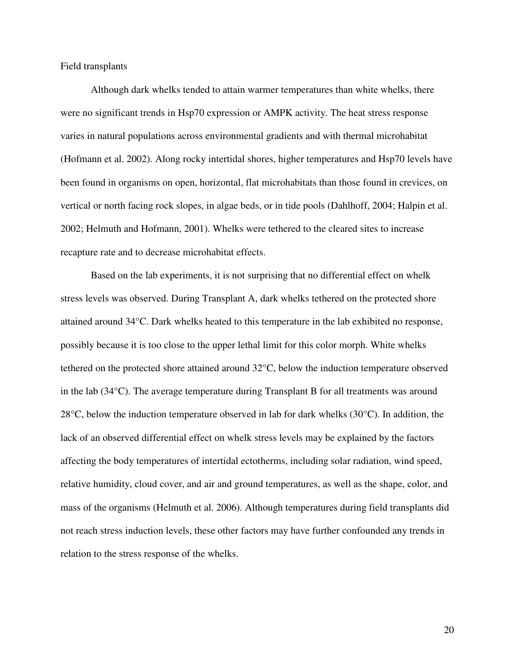Field transplants

Although dark whelks tended to attain warmer temperatures than white whelks, there were no significant trends in Hsp70 expression or AMPK activity. The heat stress response varies in natural populations across environmental gradients and with thermal microhabitat (Hofmann et al. 2002). Along rocky intertidal shores, higher temperatures and Hsp70 levels have been found in organisms on open, horizontal, flat microhabitats than those found in crevices, on vertical or north facing rock slopes, in algae beds, or in tide pools (Dahlhoff, 2004; Halpin et al. 2002; Helmuth and Hofmann, 2001). Whelks were tethered to the cleared sites to increase recapture rate and to decrease microhabitat effects.

Based on the lab experiments, it is not surprising that no differential effect on whelk stress levels was observed. During Transplant A, dark whelks tethered on the protected shore attained around 34°C. Dark whelks heated to this temperature in the lab exhibited no response, possibly because it is too close to the upper lethal limit for this color morph. White whelks tethered on the protected shore attained around 32°C, below the induction temperature observed in the lab (34°C). The average temperature during Transplant B for all treatments was around 28°C, below the induction temperature observed in lab for dark whelks (30°C). In addition, the lack of an observed differential effect on whelk stress levels may be explained by the factors affecting the body temperatures of intertidal ectotherms, including solar radiation, wind speed, relative humidity, cloud cover, and air and ground temperatures, as well as the shape, color, and mass of the organisms (Helmuth et al. 2006). Although temperatures during field transplants did not reach stress induction levels, these other factors may have further confounded any trends in relation to the stress response of the whelks.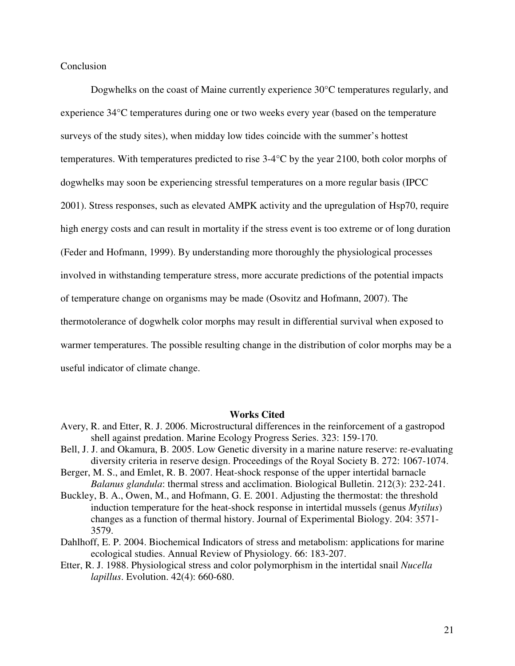Conclusion

Dogwhelks on the coast of Maine currently experience 30°C temperatures regularly, and experience 34°C temperatures during one or two weeks every year (based on the temperature surveys of the study sites), when midday low tides coincide with the summer's hottest temperatures. With temperatures predicted to rise 3-4°C by the year 2100, both color morphs of dogwhelks may soon be experiencing stressful temperatures on a more regular basis (IPCC 2001). Stress responses, such as elevated AMPK activity and the upregulation of Hsp70, require high energy costs and can result in mortality if the stress event is too extreme or of long duration (Feder and Hofmann, 1999). By understanding more thoroughly the physiological processes involved in withstanding temperature stress, more accurate predictions of the potential impacts of temperature change on organisms may be made (Osovitz and Hofmann, 2007). The thermotolerance of dogwhelk color morphs may result in differential survival when exposed to warmer temperatures. The possible resulting change in the distribution of color morphs may be a useful indicator of climate change.

#### **Works Cited**

- Avery, R. and Etter, R. J. 2006. Microstructural differences in the reinforcement of a gastropod shell against predation. Marine Ecology Progress Series. 323: 159-170.
- Bell, J. J. and Okamura, B. 2005. Low Genetic diversity in a marine nature reserve: re-evaluating diversity criteria in reserve design. Proceedings of the Royal Society B. 272: 1067-1074.
- Berger, M. S., and Emlet, R. B. 2007. Heat-shock response of the upper intertidal barnacle *Balanus glandula*: thermal stress and acclimation. Biological Bulletin. 212(3): 232-241.
- Buckley, B. A., Owen, M., and Hofmann, G. E. 2001. Adjusting the thermostat: the threshold induction temperature for the heat-shock response in intertidal mussels (genus *Mytilus*) changes as a function of thermal history. Journal of Experimental Biology. 204: 3571- 3579.
- Dahlhoff, E. P. 2004. Biochemical Indicators of stress and metabolism: applications for marine ecological studies. Annual Review of Physiology. 66: 183-207.
- Etter, R. J. 1988. Physiological stress and color polymorphism in the intertidal snail *Nucella lapillus*. Evolution. 42(4): 660-680.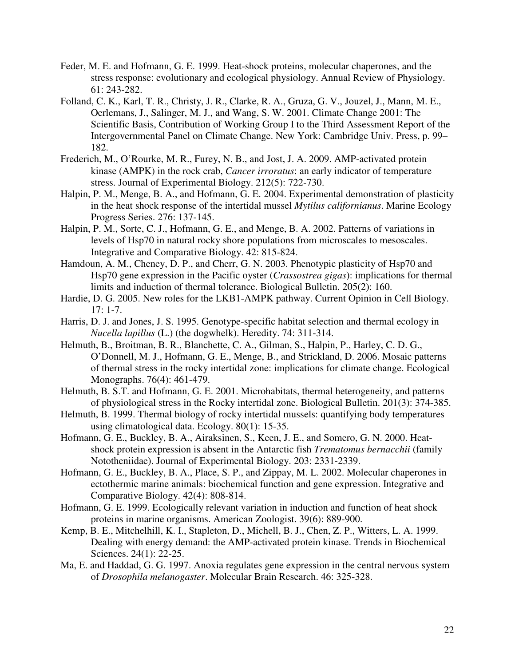- Feder, M. E. and Hofmann, G. E. 1999. Heat-shock proteins, molecular chaperones, and the stress response: evolutionary and ecological physiology. Annual Review of Physiology. 61: 243-282.
- Folland, C. K., Karl, T. R., Christy, J. R., Clarke, R. A., Gruza, G. V., Jouzel, J., Mann, M. E., Oerlemans, J., Salinger, M. J., and Wang, S. W. 2001. Climate Change 2001: The Scientific Basis, Contribution of Working Group I to the Third Assessment Report of the Intergovernmental Panel on Climate Change. New York: Cambridge Univ. Press, p. 99– 182.
- Frederich, M., O'Rourke, M. R., Furey, N. B., and Jost, J. A. 2009. AMP-activated protein kinase (AMPK) in the rock crab, *Cancer irroratus*: an early indicator of temperature stress. Journal of Experimental Biology. 212(5): 722-730.
- Halpin, P. M., Menge, B. A., and Hofmann, G. E. 2004. Experimental demonstration of plasticity in the heat shock response of the intertidal mussel *Mytilus californianus*. Marine Ecology Progress Series. 276: 137-145.
- Halpin, P. M., Sorte, C. J., Hofmann, G. E., and Menge, B. A. 2002. Patterns of variations in levels of Hsp70 in natural rocky shore populations from microscales to mesoscales. Integrative and Comparative Biology. 42: 815-824.
- Hamdoun, A. M., Cheney, D. P., and Cherr, G. N. 2003. Phenotypic plasticity of Hsp70 and Hsp70 gene expression in the Pacific oyster (*Crassostrea gigas*): implications for thermal limits and induction of thermal tolerance. Biological Bulletin. 205(2): 160.
- Hardie, D. G. 2005. New roles for the LKB1-AMPK pathway. Current Opinion in Cell Biology. 17: 1-7.
- Harris, D. J. and Jones, J. S. 1995. Genotype-specific habitat selection and thermal ecology in *Nucella lapillus* (L.) (the dogwhelk). Heredity. 74: 311-314.
- Helmuth, B., Broitman, B. R., Blanchette, C. A., Gilman, S., Halpin, P., Harley, C. D. G., O'Donnell, M. J., Hofmann, G. E., Menge, B., and Strickland, D. 2006. Mosaic patterns of thermal stress in the rocky intertidal zone: implications for climate change. Ecological Monographs. 76(4): 461-479.
- Helmuth, B. S.T. and Hofmann, G. E. 2001. Microhabitats, thermal heterogeneity, and patterns of physiological stress in the Rocky intertidal zone. Biological Bulletin. 201(3): 374-385.
- Helmuth, B. 1999. Thermal biology of rocky intertidal mussels: quantifying body temperatures using climatological data. Ecology. 80(1): 15-35.
- Hofmann, G. E., Buckley, B. A., Airaksinen, S., Keen, J. E., and Somero, G. N. 2000. Heatshock protein expression is absent in the Antarctic fish *Trematomus bernacchii* (family Nototheniidae). Journal of Experimental Biology. 203: 2331-2339.
- Hofmann, G. E., Buckley, B. A., Place, S. P., and Zippay, M. L. 2002. Molecular chaperones in ectothermic marine animals: biochemical function and gene expression. Integrative and Comparative Biology. 42(4): 808-814.
- Hofmann, G. E. 1999. Ecologically relevant variation in induction and function of heat shock proteins in marine organisms. American Zoologist. 39(6): 889-900.
- Kemp, B. E., Mitchelhill, K. I., Stapleton, D., Michell, B. J., Chen, Z. P., Witters, L. A. 1999. Dealing with energy demand: the AMP-activated protein kinase. Trends in Biochemical Sciences. 24(1): 22-25.
- Ma, E. and Haddad, G. G. 1997. Anoxia regulates gene expression in the central nervous system of *Drosophila melanogaster*. Molecular Brain Research. 46: 325-328.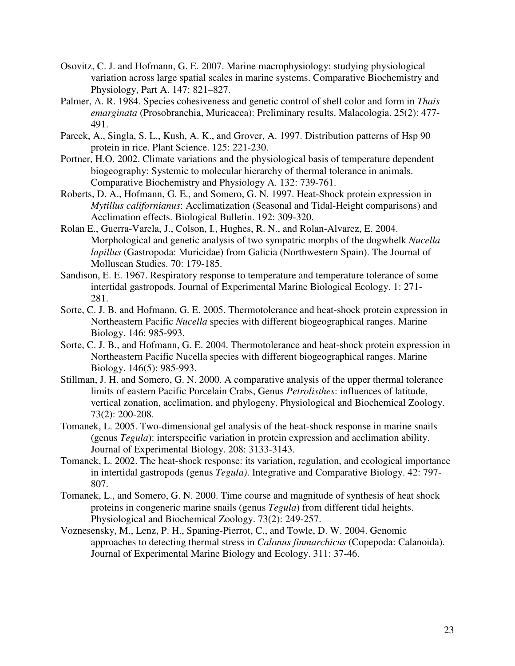- Osovitz, C. J. and Hofmann, G. E. 2007. Marine macrophysiology: studying physiological variation across large spatial scales in marine systems. Comparative Biochemistry and Physiology, Part A. 147: 821–827.
- Palmer, A. R. 1984. Species cohesiveness and genetic control of shell color and form in *Thais emarginata* (Prosobranchia, Muricacea): Preliminary results. Malacologia. 25(2): 477- 491.
- Pareek, A., Singla, S. L., Kush, A. K., and Grover, A. 1997. Distribution patterns of Hsp 90 protein in rice. Plant Science. 125: 221-230.
- Portner, H.O. 2002. Climate variations and the physiological basis of temperature dependent biogeography: Systemic to molecular hierarchy of thermal tolerance in animals. Comparative Biochemistry and Physiology A. 132: 739-761.
- Roberts, D. A., Hofmann, G. E., and Somero, G. N. 1997. Heat-Shock protein expression in *Mytillus californianus*: Acclimatization (Seasonal and Tidal-Height comparisons) and Acclimation effects. Biological Bulletin. 192: 309-320.
- Rolan E., Guerra-Varela, J., Colson, I., Hughes, R. N., and Rolan-Alvarez, E. 2004. Morphological and genetic analysis of two sympatric morphs of the dogwhelk *Nucella lapillus* (Gastropoda: Muricidae) from Galicia (Northwestern Spain). The Journal of Molluscan Studies. 70: 179-185.
- Sandison, E. E. 1967. Respiratory response to temperature and temperature tolerance of some intertidal gastropods. Journal of Experimental Marine Biological Ecology. 1: 271- 281.
- Sorte, C. J. B. and Hofmann, G. E. 2005. Thermotolerance and heat-shock protein expression in Northeastern Pacific *Nucella* species with different biogeographical ranges. Marine Biology. 146: 985-993.
- Sorte, C. J. B., and Hofmann, G. E. 2004. Thermotolerance and heat-shock protein expression in Northeastern Pacific Nucella species with different biogeographical ranges. Marine Biology. 146(5): 985-993.
- Stillman, J. H. and Somero, G. N. 2000. A comparative analysis of the upper thermal tolerance limits of eastern Pacific Porcelain Crabs, Genus *Petrolisthes*: influences of latitude, vertical zonation, acclimation, and phylogeny. Physiological and Biochemical Zoology. 73(2): 200-208.
- Tomanek, L. 2005. Two-dimensional gel analysis of the heat-shock response in marine snails (genus *Tegula*): interspecific variation in protein expression and acclimation ability. Journal of Experimental Biology. 208: 3133-3143.
- Tomanek, L. 2002. The heat-shock response: its variation, regulation, and ecological importance in intertidal gastropods (genus *Tegula)*. Integrative and Comparative Biology. 42: 797- 807.
- Tomanek, L., and Somero, G. N. 2000. Time course and magnitude of synthesis of heat shock proteins in congeneric marine snails (genus *Tegula*) from different tidal heights. Physiological and Biochemical Zoology. 73(2): 249-257.
- Voznesensky, M., Lenz, P. H., Spaning-Pierrot, C., and Towle, D. W. 2004. Genomic approaches to detecting thermal stress in *Calanus finmarchicus* (Copepoda: Calanoida). Journal of Experimental Marine Biology and Ecology. 311: 37-46.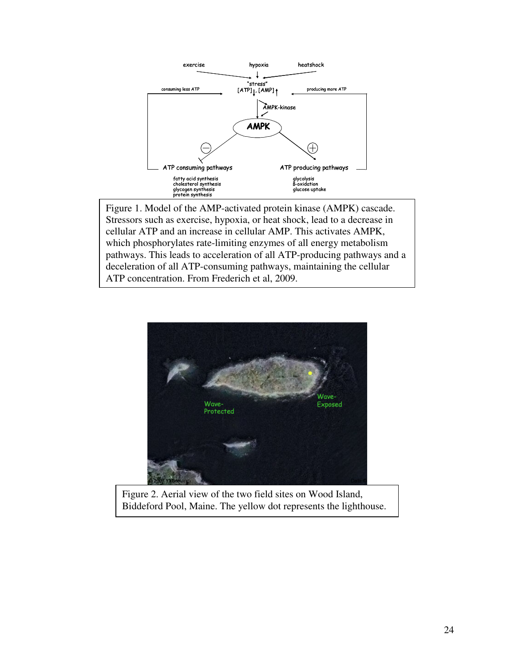

Figure 1. Model of the AMP-activated protein kinase (AMPK) cascade. Stressors such as exercise, hypoxia, or heat shock, lead to a decrease in cellular ATP and an increase in cellular AMP. This activates AMPK, which phosphorylates rate-limiting enzymes of all energy metabolism pathways. This leads to acceleration of all ATP-producing pathways and a deceleration of all ATP-consuming pathways, maintaining the cellular ATP concentration. From Frederich et al, 2009.



Figure 2. Aerial view of the two field sites on Wood Island, Biddeford Pool, Maine. The yellow dot represents the lighthouse.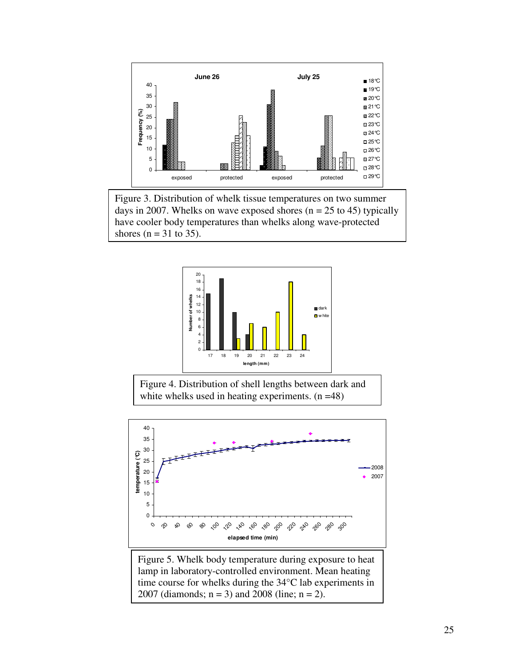

Figure 3. Distribution of whelk tissue temperatures on two summer days in 2007. Whelks on wave exposed shores ( $n = 25$  to 45) typically have cooler body temperatures than whelks along wave-protected shores ( $n = 31$  to 35).



Figure 4. Distribution of shell lengths between dark and white whelks used in heating experiments.  $(n = 48)$ 



lamp in laboratory-controlled environment. Mean heating time course for whelks during the 34°C lab experiments in 2007 (diamonds;  $n = 3$ ) and 2008 (line;  $n = 2$ ).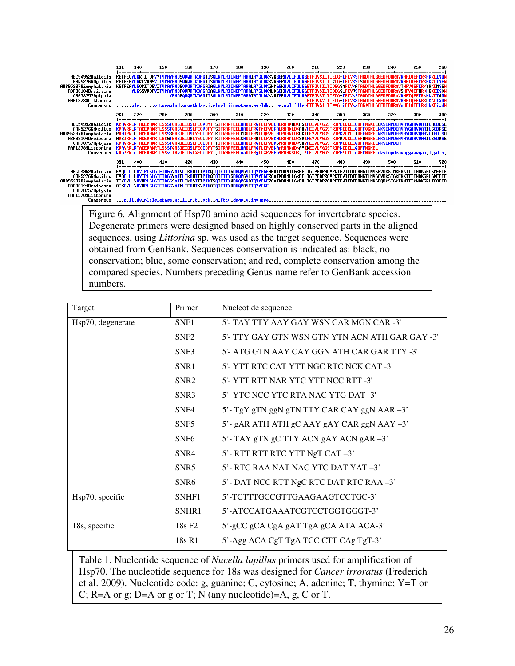

Figure 6. Alignment of Hsp70 amino acid sequences for invertebrate species. Degenerate primers were designed based on highly conserved parts in the aligned sequences, using *Littorina* sp. was used as the target sequence. Sequences were obtained from GenBank. Sequences conservation is indicated as: black, no conservation; blue, some conservation; and red, complete conservation among the compared species. Numbers preceding Genus name refer to GenBank accession numbers.

| Target            | Primer             | Nucleotide sequence                             |
|-------------------|--------------------|-------------------------------------------------|
| Hsp70, degenerate | SNF1               | 5'- TAY TTY AAY GAY WSN CAR MGN CAR -3'         |
|                   | SNF <sub>2</sub>   | 5'- TTY GAY GTN WSN GTN YTN ACN ATH GAR GAY -3' |
|                   | SNF3               | 5'- ATG GTN AAY CAY GGN ATH CAR GAR TTY -3'     |
|                   | SNR1               | 5'- YTT RTC CAT YTT NGC RTC NCK CAT -3'         |
|                   | SNR <sub>2</sub>   | 5'- YTT RTT NAR YTC YTT NCC RTT -3'             |
|                   | SNR3               | 5'- YTC NCC YTC RTA NAC YTG DAT -3'             |
|                   | SNF4               | 5'- TgY gTN ggN gTN TTY CAR CAY ggN AAR -3'     |
|                   | SNF <sub>5</sub>   | 5'- gAR ATH ATH gC AAY gAY CAR ggN AAY -3'      |
|                   | SNF <sub>6</sub>   | 5'- TAY gTN gC TTY ACN gAY ACN gAR -3'          |
|                   | SNR4               | 5'- RTT RTT RTC YTT NgT CAT -3'                 |
|                   | SNR <sub>5</sub>   | $5'$ - RTC RAA NAT NAC YTC DAT YAT $-3'$        |
|                   | SNR <sub>6</sub>   | 5'-DAT NCC RTT NgC RTC DAT RTC RAA-3'           |
| Hsp70, specific   | SNHF1              | 5'-TCTTTGCCGTTGAAGAAGTCCTGC-3'                  |
|                   | SNHR1              | 5'-ATCCATGAAATCGTCCTGGTGGGT-3'                  |
| 18s, specific     | 18s F <sub>2</sub> | 5'-gCC gCA CgA gAT TgA gCA ATA ACA-3'           |
|                   | 18s R1             | 5'-Agg ACA CgT TgA TCC CTT CAg TgT-3'           |

Table 1. Nucleotide sequence of *Nucella lapillus* primers used for amplification of Hsp70. The nucleotide sequence for 18s was designed for *Cancer irroratus* (Frederich et al. 2009). Nucleotide code: g, guanine; C, cytosine; A, adenine; T, thymine; Y=T or C; R=A or g; D=A or g or T; N (any nucleotide)=A, g, C or T.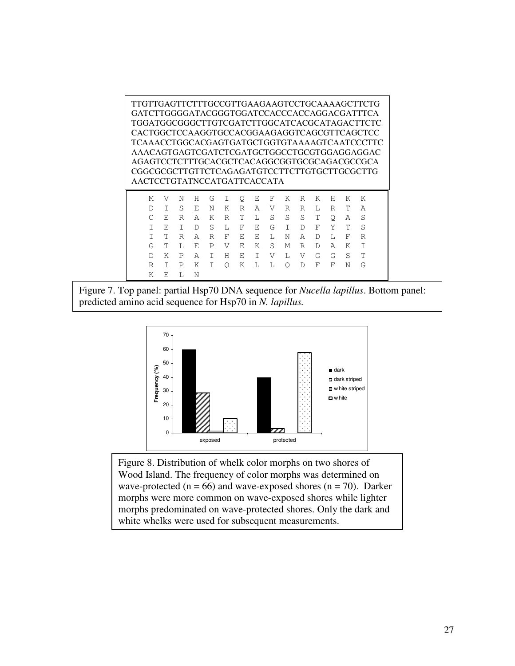TTGTTGAGTTCTTTGCCGTTGAAGAAGTCCTGCAAAAGCTTCTG GATCTTGGGGATACGGGTGGATCCACCCACCAGGACGATTTCA TGGATGGCGGGCTTGTCGATCTTGGCATCACGCATAGACTTCTC CACTGGCTCCAAGGTGCCACGGAAGAGGTCAGCGTTCAGCTCC TCAAACCTGGCACGAGTGATGCTGGTGTAAAAGTCAATCCCTTC AAACAGTGAGTCGATCTCGATGCTGGCCTGCGTGGAGGAGGAC AGAGTCCTCTTTGCACGCTCACAGGCGGTGCGCAGACGCCGCA CGGCGCGCTTGTTCTCAGAGATGTCCTTCTTGTGCTTGCGCTTG AACTCCTGTATNCCATGATTCACCATA M V N H G I Q E F K R K H K K

|       | DI SEN KRAVRRL RTA            |  |  |  |  |  |  |
|-------|-------------------------------|--|--|--|--|--|--|
|       | C E R A K R T L S S S T O A S |  |  |  |  |  |  |
| - T - | EIDS LFEGIDFYTS               |  |  |  |  |  |  |
|       | RARFEELNAD LFR                |  |  |  |  |  |  |
|       | G T L E P V E K S M R D A K T |  |  |  |  |  |  |
|       | D K P A I H E I V L V G G S T |  |  |  |  |  |  |
|       | R I P K I O K L L O D F F N G |  |  |  |  |  |  |
|       | K F. I.N                      |  |  |  |  |  |  |





Figure 8. Distribution of whelk color morphs on two shores of Wood Island. The frequency of color morphs was determined on wave-protected ( $n = 66$ ) and wave-exposed shores ( $n = 70$ ). Darker morphs were more common on wave-exposed shores while lighter morphs predominated on wave-protected shores. Only the dark and white whelks were used for subsequent measurements.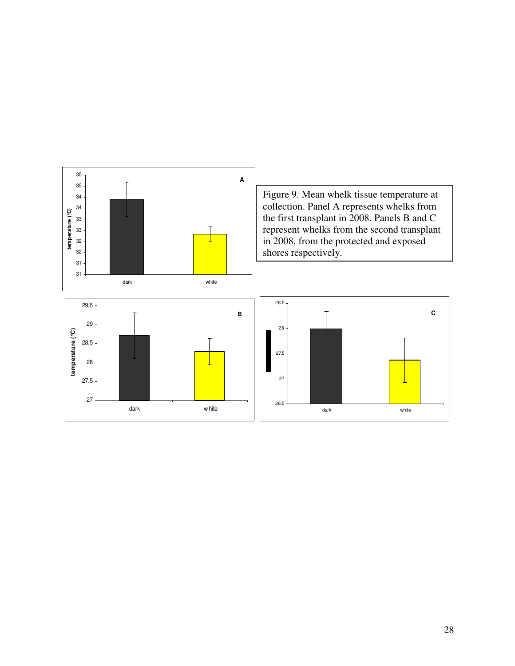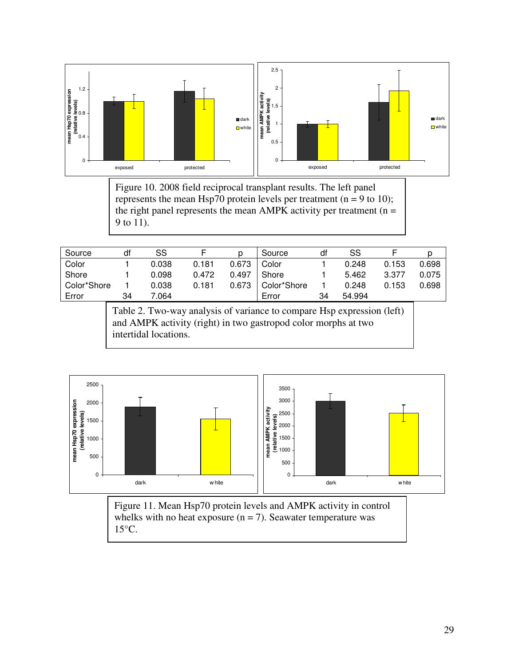

Figure 10. 2008 field reciprocal transplant results. The left panel represents the mean Hsp70 protein levels per treatment (n = 9 to 10); the right panel represents the mean AMPK activity per treatment ( $n =$ 9 to 11).

| Source      | df | SS    |       |       | Source      | df | SS     |       |       |
|-------------|----|-------|-------|-------|-------------|----|--------|-------|-------|
| Color       |    | 0.038 | 0.181 | 0.673 | Color       |    | 0.248  | 0.153 | 0.698 |
| Shore       |    | 0.098 | 0.472 | 0.497 | Shore       |    | 5.462  | 3.377 | 0.075 |
| Color*Shore |    | 0.038 | 0.181 | 0.673 | Color*Shore |    | 0.248  | 0.153 | 0.698 |
| Error       | 34 | 7.064 |       |       | Error       | 34 | 54.994 |       |       |

Table 2. Two-way analysis of variance to compare Hsp expression (left) and AMPK activity (right) in two gastropod color morphs at two intertidal locations.



Figure 11. Mean Hsp70 protein levels and AMPK activity in control whelks with no heat exposure  $(n = 7)$ . Seawater temperature was 15°C.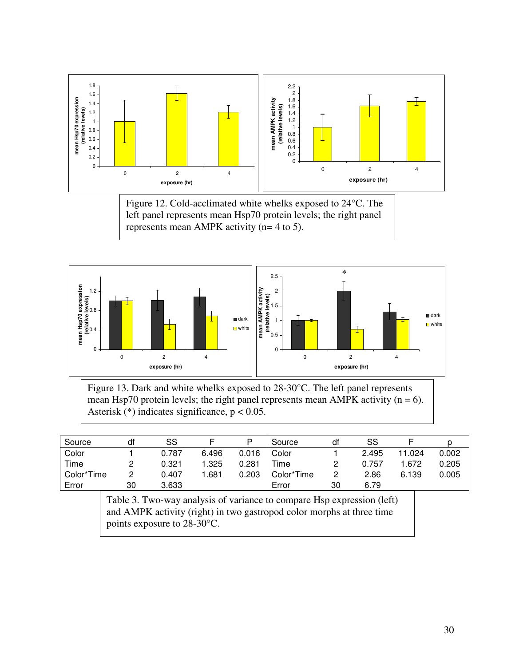

Figure 12. Cold-acclimated white whelks exposed to 24°C. The left panel represents mean Hsp70 protein levels; the right panel represents mean AMPK activity (n= 4 to 5).



Figure 13. Dark and white whelks exposed to 28-30°C. The left panel represents mean Hsp70 protein levels; the right panel represents mean AMPK activity  $(n = 6)$ . Asterisk  $(*)$  indicates significance,  $p < 0.05$ .

| Source     | df | SS    |       | P     | Source     | df       | SS    |        |       |
|------------|----|-------|-------|-------|------------|----------|-------|--------|-------|
| Color      |    | 0.787 | 6.496 | 0.016 | Color      |          | 2.495 | 11.024 | 0.002 |
| Time       |    | 0.321 | .325  | 0.281 | Time       | <u>.</u> | 0.757 | 872. ا | 0.205 |
| Color*Time |    | 0.407 | .681  | 0.203 | Color*Time | 2        | 2.86  | 6.139  | 0.005 |
| Error      | 30 | 3.633 |       |       | Error      | 30       | 6.79  |        |       |

Table 3. Two-way analysis of variance to compare Hsp expression (left) and AMPK activity (right) in two gastropod color morphs at three time points exposure to 28-30°C.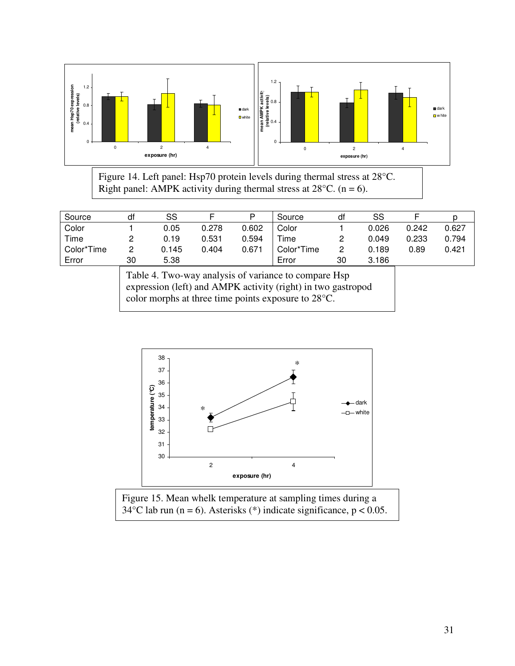

Figure 14. Left panel: Hsp70 protein levels during thermal stress at 28°C. Right panel: AMPK activity during thermal stress at  $28^{\circ}$ C. (n = 6).

| Source     | df | SS    |       | D     | Source     | df | SS    |       |       |
|------------|----|-------|-------|-------|------------|----|-------|-------|-------|
| Color      |    | 0.05  | 0.278 | 0.602 | Color      |    | 0.026 | 0.242 | 0.627 |
| Time       |    | 0.19  | 0.531 | 0.594 | Time       | റ  | 0.049 | 0.233 | 0.794 |
| Color*Time |    | 0.145 | 0.404 | 0.671 | Color*Time | 2  | 0.189 | 0.89  | 0.421 |
| Error      | 30 | 5.38  |       |       | Error      | 30 | 3.186 |       |       |

Table 4. Two-way analysis of variance to compare Hsp expression (left) and AMPK activity (right) in two gastropod color morphs at three time points exposure to 28°C.



Figure 15. Mean whelk temperature at sampling times during a 34°C lab run (n = 6). Asterisks (\*) indicate significance, p < 0.05.